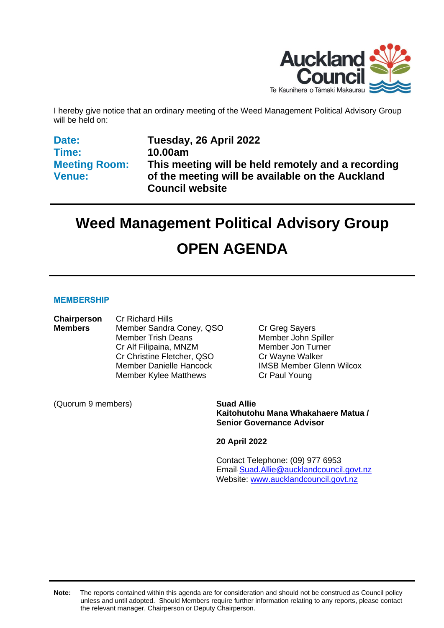

I hereby give notice that an ordinary meeting of the Weed Management Political Advisory Group will be held on:

**Date: Time: Meeting Room: Venue:**

**Tuesday, 26 April 2022 10.00am This meeting will be held remotely and a recording of the meeting will be available on the Auckland Council website** 

# **Weed Management Political Advisory Group OPEN AGENDA**

#### **MEMBERSHIP**

| Chairperson    | <b>Cr Richard Hills</b>        |
|----------------|--------------------------------|
| <b>Members</b> | Member Sandra Coney, QSO       |
|                | <b>Member Trish Deans</b>      |
|                | Cr Alf Filipaina, MNZM         |
|                | Cr Christine Fletcher, QSO     |
|                | <b>Member Danielle Hancock</b> |
|                | <b>Member Kylee Matthews</b>   |

**Cr Greg Sayers** Member John Spiller Member Jon Turner Cr Wayne Walker **IMSB Member Glenn Wilcox** Cr Paul Young

(Quorum 9 members) **Suad Allie**

**Kaitohutohu Mana Whakahaere Matua / Senior Governance Advisor**

**20 April 2022**

Contact Telephone: (09) 977 6953 Email: [Suad.Allie@aucklandcouncil.govt.nz](mailto:Suad.Allie@aucklandcouncil.govt.nz) Website: [www.aucklandcouncil.govt.nz](http://www.aucklandcouncil.govt.nz/)

**Note:** The reports contained within this agenda are for consideration and should not be construed as Council policy unless and until adopted. Should Members require further information relating to any reports, please contact the relevant manager, Chairperson or Deputy Chairperson.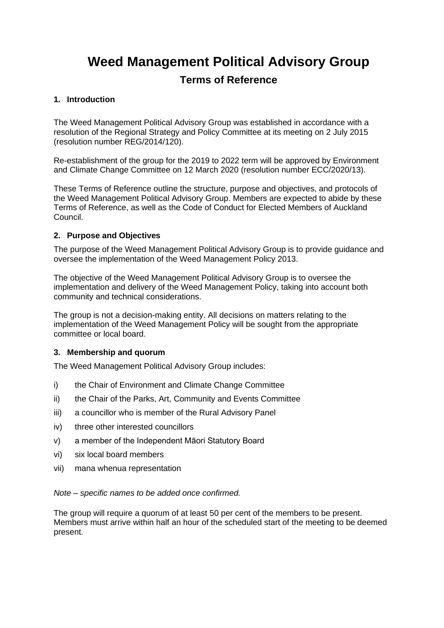# **Weed Management Political Advisory Group**

### **Terms of Reference**

#### **1. Introduction**

The Weed Management Political Advisory Group was established in accordance with a resolution of the Regional Strategy and Policy Committee at its meeting on 2 July 2015 (resolution number REG/2014/120).

Re-establishment of the group for the 2019 to 2022 term will be approved by Environment and Climate Change Committee on 12 March 2020 (resolution number ECC/2020/13).

These Terms of Reference outline the structure, purpose and objectives, and protocols of the Weed Management Political Advisory Group. Members are expected to abide by these Terms of Reference, as well as the Code of Conduct for Elected Members of Auckland Council.

#### **2. Purpose and Objectives**

The purpose of the Weed Management Political Advisory Group is to provide guidance and oversee the implementation of the Weed Management Policy 2013.

The objective of the Weed Management Political Advisory Group is to oversee the implementation and delivery of the Weed Management Policy, taking into account both community and technical considerations.

The group is not a decision-making entity. All decisions on matters relating to the implementation of the Weed Management Policy will be sought from the appropriate committee or local board.

#### **3. Membership and quorum**

The Weed Management Political Advisory Group includes:

- i) the Chair of Environment and Climate Change Committee
- ii) the Chair of the Parks, Art, Community and Events Committee
- iii) a councillor who is member of the Rural Advisory Panel
- iv) three other interested councillors
- v) a member of the Independent Māori Statutory Board
- vi) six local board members
- vii) mana whenua representation

#### *Note – specific names to be added once confirmed.*

The group will require a quorum of at least 50 per cent of the members to be present. Members must arrive within half an hour of the scheduled start of the meeting to be deemed present.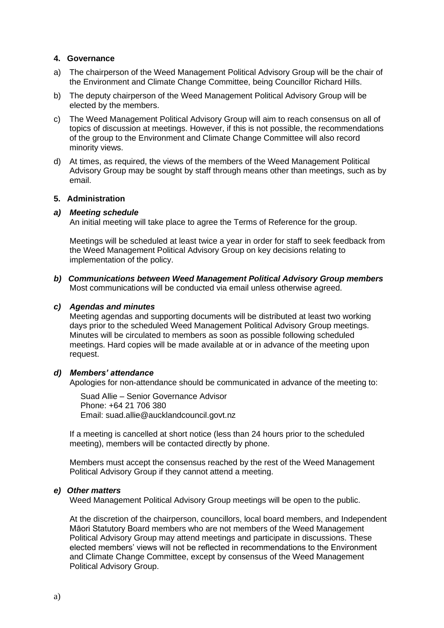#### **4. Governance**

- a) The chairperson of the Weed Management Political Advisory Group will be the chair of the Environment and Climate Change Committee, being Councillor Richard Hills.
- b) The deputy chairperson of the Weed Management Political Advisory Group will be elected by the members.
- c) The Weed Management Political Advisory Group will aim to reach consensus on all of topics of discussion at meetings. However, if this is not possible, the recommendations of the group to the Environment and Climate Change Committee will also record minority views.
- d) At times, as required, the views of the members of the Weed Management Political Advisory Group may be sought by staff through means other than meetings, such as by email.

#### **5. Administration**

#### *a) Meeting schedule*

An initial meeting will take place to agree the Terms of Reference for the group.

Meetings will be scheduled at least twice a year in order for staff to seek feedback from the Weed Management Political Advisory Group on key decisions relating to implementation of the policy.

*b) Communications between Weed Management Political Advisory Group members* Most communications will be conducted via email unless otherwise agreed.

#### *c) Agendas and minutes*

Meeting agendas and supporting documents will be distributed at least two working days prior to the scheduled Weed Management Political Advisory Group meetings. Minutes will be circulated to members as soon as possible following scheduled meetings. Hard copies will be made available at or in advance of the meeting upon request.

#### *d) Members' attendance*

Apologies for non-attendance should be communicated in advance of the meeting to:

Suad Allie – Senior Governance Advisor Phone: +64 21 706 380 Email: suad.allie@aucklandcouncil.govt.nz

If a meeting is cancelled at short notice (less than 24 hours prior to the scheduled meeting), members will be contacted directly by phone.

Members must accept the consensus reached by the rest of the Weed Management Political Advisory Group if they cannot attend a meeting.

#### *e) Other matters*

Weed Management Political Advisory Group meetings will be open to the public.

At the discretion of the chairperson, councillors, local board members, and Independent Māori Statutory Board members who are not members of the Weed Management Political Advisory Group may attend meetings and participate in discussions. These elected members' views will not be reflected in recommendations to the Environment and Climate Change Committee, except by consensus of the Weed Management Political Advisory Group.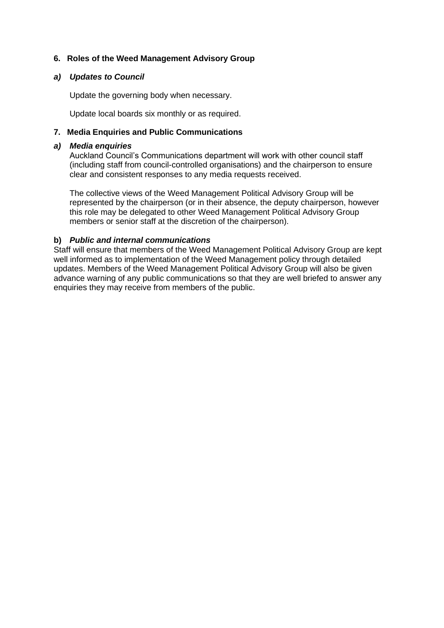#### **6. Roles of the Weed Management Advisory Group**

#### *a) Updates to Council*

Update the governing body when necessary.

Update local boards six monthly or as required.

#### **7. Media Enquiries and Public Communications**

#### *a) Media enquiries*

Auckland Council's Communications department will work with other council staff (including staff from council-controlled organisations) and the chairperson to ensure clear and consistent responses to any media requests received.

The collective views of the Weed Management Political Advisory Group will be represented by the chairperson (or in their absence, the deputy chairperson, however this role may be delegated to other Weed Management Political Advisory Group members or senior staff at the discretion of the chairperson).

#### **b)** *Public and internal communications*

Staff will ensure that members of the Weed Management Political Advisory Group are kept well informed as to implementation of the Weed Management policy through detailed updates. Members of the Weed Management Political Advisory Group will also be given advance warning of any public communications so that they are well briefed to answer any enquiries they may receive from members of the public.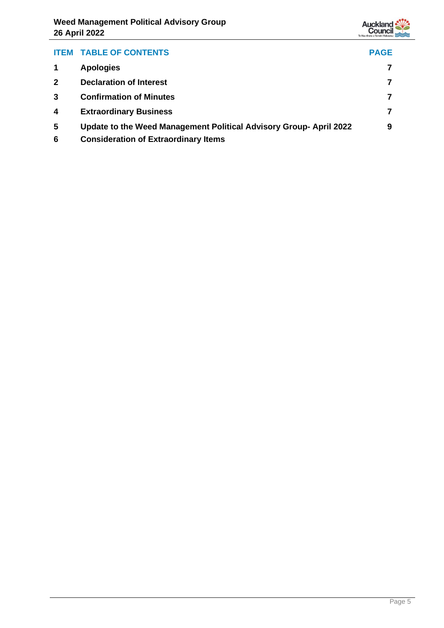

| <b>ITEM</b>  | <b>TABLE OF CONTENTS</b>                                          | <b>PAGE</b> |
|--------------|-------------------------------------------------------------------|-------------|
|              | <b>Apologies</b>                                                  |             |
| $\mathbf{2}$ | <b>Declaration of Interest</b>                                    |             |
|              | <b>Confirmation of Minutes</b>                                    |             |
| 4            | <b>Extraordinary Business</b>                                     |             |
| 5            | Update to the Weed Management Political Advisory Group-April 2022 | 9           |
| 6            | <b>Consideration of Extraordinary Items</b>                       |             |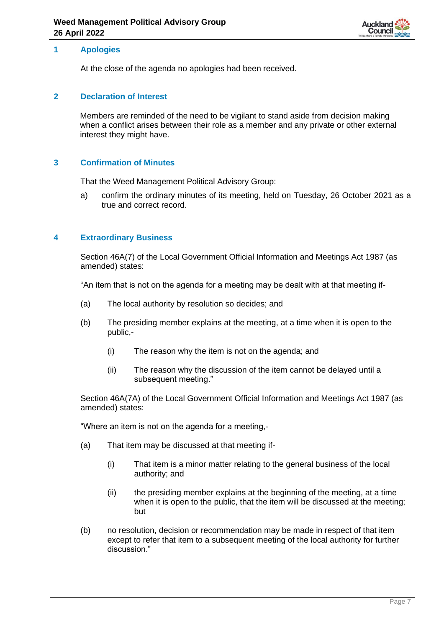

#### <span id="page-6-0"></span>**1 Apologies**

At the close of the agenda no apologies had been received.

#### <span id="page-6-1"></span>**2 Declaration of Interest**

Members are reminded of the need to be vigilant to stand aside from decision making when a conflict arises between their role as a member and any private or other external interest they might have.

#### <span id="page-6-2"></span>**3 Confirmation of Minutes**

That the Weed Management Political Advisory Group:

a) confirm the ordinary minutes of its meeting, held on Tuesday, 26 October 2021 as a true and correct record.

#### <span id="page-6-3"></span>**4 Extraordinary Business**

Section 46A(7) of the Local Government Official Information and Meetings Act 1987 (as amended) states:

"An item that is not on the agenda for a meeting may be dealt with at that meeting if-

- (a) The local authority by resolution so decides; and
- (b) The presiding member explains at the meeting, at a time when it is open to the public,-
	- (i) The reason why the item is not on the agenda; and
	- (ii) The reason why the discussion of the item cannot be delayed until a subsequent meeting."

Section 46A(7A) of the Local Government Official Information and Meetings Act 1987 (as amended) states:

"Where an item is not on the agenda for a meeting,-

- (a) That item may be discussed at that meeting if-
	- (i) That item is a minor matter relating to the general business of the local authority; and
	- (ii) the presiding member explains at the beginning of the meeting, at a time when it is open to the public, that the item will be discussed at the meeting; but
- (b) no resolution, decision or recommendation may be made in respect of that item except to refer that item to a subsequent meeting of the local authority for further discussion."